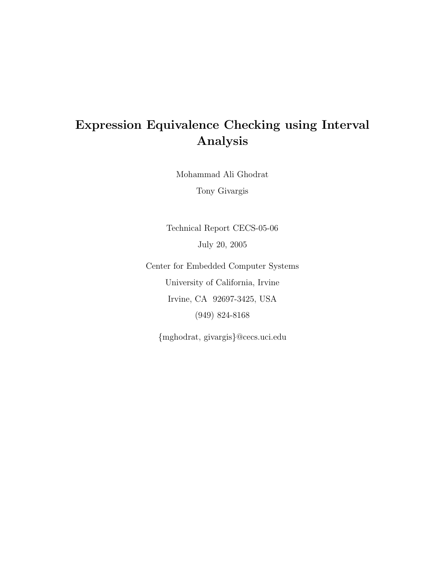# Expression Equivalence Checking using Interval Analysis

Mohammad Ali Ghodrat

Tony Givargis

Technical Report CECS-05-06 July 20, 2005

Center for Embedded Computer Systems University of California, Irvine Irvine, CA 92697-3425, USA (949) 824-8168

{mghodrat, givargis}@cecs.uci.edu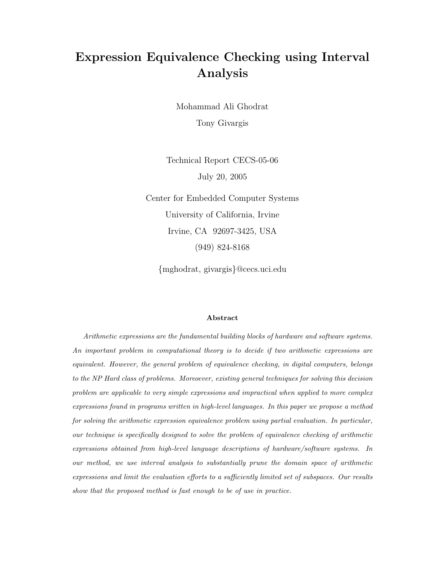# Expression Equivalence Checking using Interval Analysis

Mohammad Ali Ghodrat Tony Givargis

Technical Report CECS-05-06 July 20, 2005

Center for Embedded Computer Systems University of California, Irvine Irvine, CA 92697-3425, USA (949) 824-8168

{mghodrat, givargis}@cecs.uci.edu

### Abstract

Arithmetic expressions are the fundamental building blocks of hardware and software systems. An important problem in computational theory is to decide if two arithmetic expressions are equivalent. However, the general problem of equivalence checking, in digital computers, belongs to the NP Hard class of problems. Moreoever, existing general techniques for solving this decision problem are applicable to very simple expressions and impractical when applied to more complex expressions found in programs written in high-level languages. In this paper we propose a method for solving the arithmetic expression equivalence problem using partial evaluation. In particular, our technique is specifically designed to solve the problem of equivalence checking of arithmetic expressions obtained from high-level language descriptions of hardware/software systems. In our method, we use interval analysis to substantially prune the domain space of arithmetic expressions and limit the evaluation efforts to a sufficiently limited set of subspaces. Our results show that the proposed method is fast enough to be of use in practice.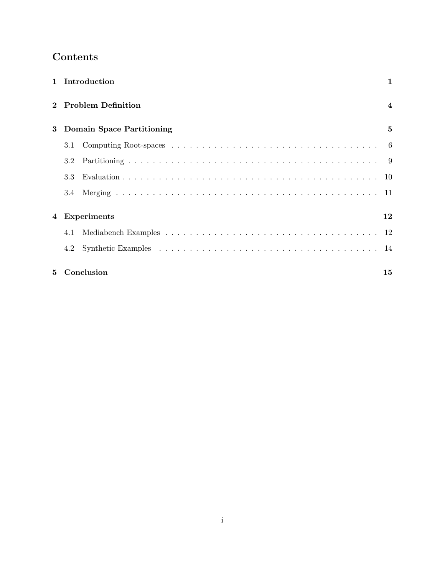# Contents

|   |     | 1 Introduction                   | 1                       |
|---|-----|----------------------------------|-------------------------|
|   |     | <b>Problem Definition</b>        | $\overline{\mathbf{4}}$ |
| 3 |     | <b>Domain Space Partitioning</b> | 5                       |
|   | 3.1 |                                  |                         |
|   | 3.2 |                                  |                         |
|   | 3.3 |                                  |                         |
|   | 3.4 |                                  |                         |
| 4 |     | <b>Experiments</b>               | 12                      |
|   | 4.1 |                                  |                         |
|   | 4.2 |                                  |                         |
| 5 |     | Conclusion                       | 15                      |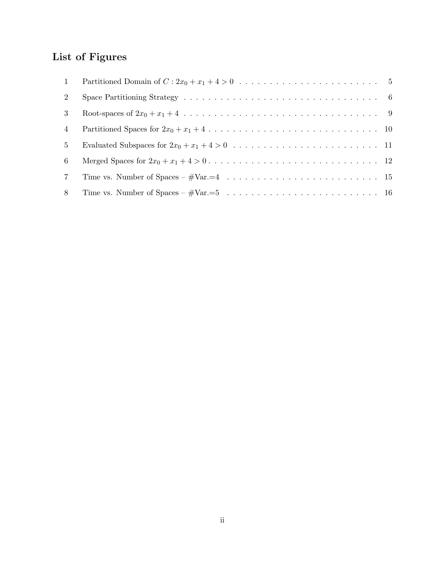# List of Figures

| 1               |  |
|-----------------|--|
| $2^{\circ}$     |  |
| 3               |  |
| 4               |  |
| 5 <sup>5</sup>  |  |
| 6               |  |
| $7\phantom{.0}$ |  |
| 8               |  |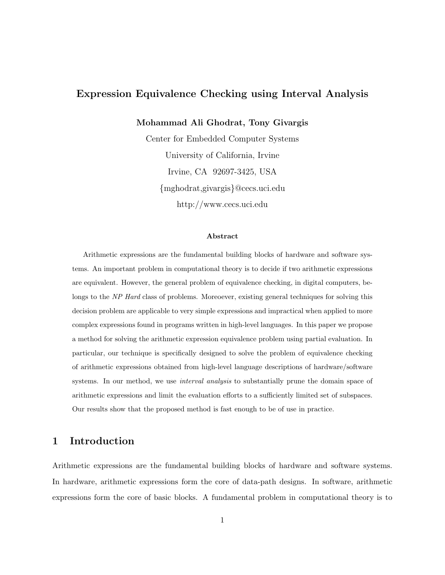## Expression Equivalence Checking using Interval Analysis

Mohammad Ali Ghodrat, Tony Givargis

Center for Embedded Computer Systems University of California, Irvine Irvine, CA 92697-3425, USA {mghodrat,givargis}@cecs.uci.edu http://www.cecs.uci.edu

#### Abstract

Arithmetic expressions are the fundamental building blocks of hardware and software systems. An important problem in computational theory is to decide if two arithmetic expressions are equivalent. However, the general problem of equivalence checking, in digital computers, belongs to the NP Hard class of problems. Moreoever, existing general techniques for solving this decision problem are applicable to very simple expressions and impractical when applied to more complex expressions found in programs written in high-level languages. In this paper we propose a method for solving the arithmetic expression equivalence problem using partial evaluation. In particular, our technique is specifically designed to solve the problem of equivalence checking of arithmetic expressions obtained from high-level language descriptions of hardware/software systems. In our method, we use *interval analysis* to substantially prune the domain space of arithmetic expressions and limit the evaluation efforts to a sufficiently limited set of subspaces. Our results show that the proposed method is fast enough to be of use in practice.

## 1 Introduction

Arithmetic expressions are the fundamental building blocks of hardware and software systems. In hardware, arithmetic expressions form the core of data-path designs. In software, arithmetic expressions form the core of basic blocks. A fundamental problem in computational theory is to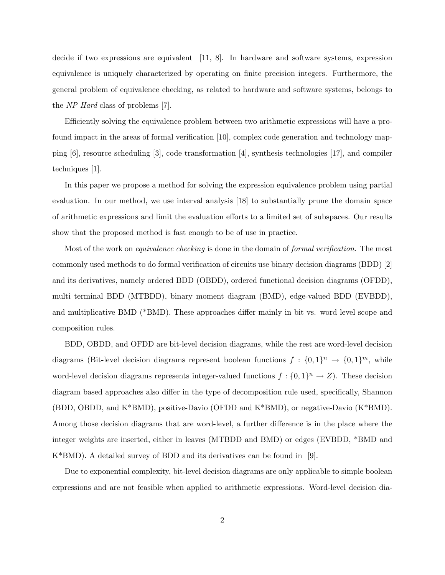decide if two expressions are equivalent [11, 8]. In hardware and software systems, expression equivalence is uniquely characterized by operating on finite precision integers. Furthermore, the general problem of equivalence checking, as related to hardware and software systems, belongs to the NP Hard class of problems [7].

Efficiently solving the equivalence problem between two arithmetic expressions will have a profound impact in the areas of formal verification [10], complex code generation and technology mapping [6], resource scheduling [3], code transformation [4], synthesis technologies [17], and compiler techniques [1].

In this paper we propose a method for solving the expression equivalence problem using partial evaluation. In our method, we use interval analysis [18] to substantially prune the domain space of arithmetic expressions and limit the evaluation efforts to a limited set of subspaces. Our results show that the proposed method is fast enough to be of use in practice.

Most of the work on *equivalence checking* is done in the domain of *formal verification*. The most commonly used methods to do formal verification of circuits use binary decision diagrams (BDD) [2] and its derivatives, namely ordered BDD (OBDD), ordered functional decision diagrams (OFDD), multi terminal BDD (MTBDD), binary moment diagram (BMD), edge-valued BDD (EVBDD), and multiplicative BMD (\*BMD). These approaches differ mainly in bit vs. word level scope and composition rules.

BDD, OBDD, and OFDD are bit-level decision diagrams, while the rest are word-level decision diagrams (Bit-level decision diagrams represent boolean functions  $f: \{0,1\}^n \to \{0,1\}^m$ , while word-level decision diagrams represents integer-valued functions  $f: \{0,1\}^n \to Z$ . These decision diagram based approaches also differ in the type of decomposition rule used, specifically, Shannon (BDD, OBDD, and K\*BMD), positive-Davio (OFDD and K\*BMD), or negative-Davio (K\*BMD). Among those decision diagrams that are word-level, a further difference is in the place where the integer weights are inserted, either in leaves (MTBDD and BMD) or edges (EVBDD, \*BMD and K\*BMD). A detailed survey of BDD and its derivatives can be found in [9].

Due to exponential complexity, bit-level decision diagrams are only applicable to simple boolean expressions and are not feasible when applied to arithmetic expressions. Word-level decision dia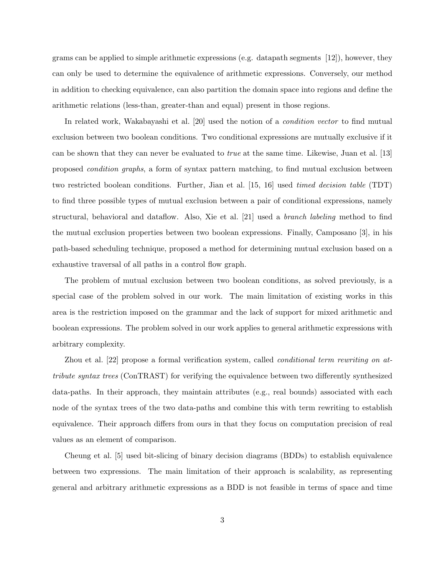grams can be applied to simple arithmetic expressions (e.g. datapath segments [12]), however, they can only be used to determine the equivalence of arithmetic expressions. Conversely, our method in addition to checking equivalence, can also partition the domain space into regions and define the arithmetic relations (less-than, greater-than and equal) present in those regions.

In related work, Wakabayashi et al. [20] used the notion of a condition vector to find mutual exclusion between two boolean conditions. Two conditional expressions are mutually exclusive if it can be shown that they can never be evaluated to true at the same time. Likewise, Juan et al. [13] proposed condition graphs, a form of syntax pattern matching, to find mutual exclusion between two restricted boolean conditions. Further, Jian et al. [15, 16] used timed decision table (TDT) to find three possible types of mutual exclusion between a pair of conditional expressions, namely structural, behavioral and dataflow. Also, Xie et al. [21] used a branch labeling method to find the mutual exclusion properties between two boolean expressions. Finally, Camposano [3], in his path-based scheduling technique, proposed a method for determining mutual exclusion based on a exhaustive traversal of all paths in a control flow graph.

The problem of mutual exclusion between two boolean conditions, as solved previously, is a special case of the problem solved in our work. The main limitation of existing works in this area is the restriction imposed on the grammar and the lack of support for mixed arithmetic and boolean expressions. The problem solved in our work applies to general arithmetic expressions with arbitrary complexity.

Zhou et al. [22] propose a formal verification system, called conditional term rewriting on attribute syntax trees (ConTRAST) for verifying the equivalence between two differently synthesized data-paths. In their approach, they maintain attributes (e.g., real bounds) associated with each node of the syntax trees of the two data-paths and combine this with term rewriting to establish equivalence. Their approach differs from ours in that they focus on computation precision of real values as an element of comparison.

Cheung et al. [5] used bit-slicing of binary decision diagrams (BDDs) to establish equivalence between two expressions. The main limitation of their approach is scalability, as representing general and arbitrary arithmetic expressions as a BDD is not feasible in terms of space and time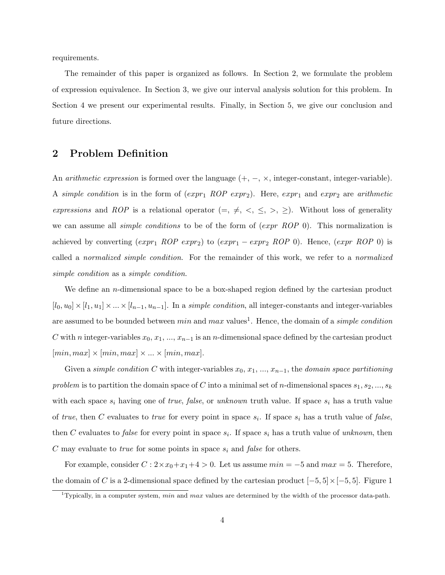requirements.

The remainder of this paper is organized as follows. In Section 2, we formulate the problem of expression equivalence. In Section 3, we give our interval analysis solution for this problem. In Section 4 we present our experimental results. Finally, in Section 5, we give our conclusion and future directions.

## 2 Problem Definition

An *arithmetic expression* is formed over the language  $(+, -, \times, \text{integer-constant}, \text{integer-variable})$ . A simple condition is in the form of  $(exp_1 \; ROP \; expr_2)$ . Here,  $expr_1$  and  $expr_2$  are arithmetic expressions and ROP is a relational operator  $(=, \neq, \leq, \leq, \geq)$ . Without loss of generality we can assume all *simple conditions* to be of the form of  $(expr \ ROP 0)$ . This normalization is achieved by converting  $(exp_1 \; ROP \; expr_2)$  to  $(exp_1 - expr_2 \; ROP \; 0)$ . Hence,  $(exp \; ROP \; 0)$  is called a normalized simple condition. For the remainder of this work, we refer to a normalized simple condition as a simple condition.

We define an *n*-dimensional space to be a box-shaped region defined by the cartesian product  $[l_0, u_0] \times [l_1, u_1] \times ... \times [l_{n-1}, u_{n-1}]$ . In a *simple condition*, all integer-constants and integer-variables are assumed to be bounded between  $min$  and  $max$  values<sup>1</sup>. Hence, the domain of a *simple condition* C with n integer-variables  $x_0, x_1, ..., x_{n-1}$  is an n-dimensional space defined by the cartesian product  $[min, max] \times [min, max] \times ... \times [min, max].$ 

Given a simple condition C with integer-variables  $x_0, x_1, ..., x_{n-1}$ , the domain space partitioning problem is to partition the domain space of C into a minimal set of n-dimensional spaces  $s_1, s_2, ..., s_k$ with each space  $s_i$  having one of *true, false,* or *unknown* truth value. If space  $s_i$  has a truth value of true, then C evaluates to true for every point in space  $s_i$ . If space  $s_i$  has a truth value of false, then C evaluates to *false* for every point in space  $s_i$ . If space  $s_i$  has a truth value of unknown, then C may evaluate to *true* for some points in space  $s_i$  and *false* for others.

For example, consider  $C: 2 \times x_0 + x_1 + 4 > 0$ . Let us assume  $min = -5$  and  $max = 5$ . Therefore, the domain of C is a 2-dimensional space defined by the cartesian product  $[-5, 5] \times [-5, 5]$ . Figure 1

<sup>&</sup>lt;sup>1</sup>Typically, in a computer system, min and max values are determined by the width of the processor data-path.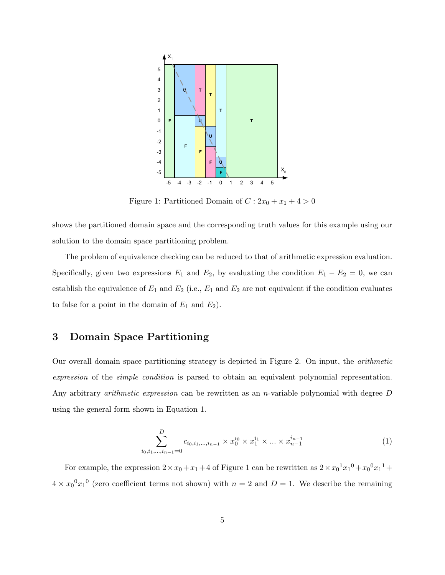

Figure 1: Partitioned Domain of  $C: 2x_0 + x_1 + 4 > 0$ 

shows the partitioned domain space and the corresponding truth values for this example using our solution to the domain space partitioning problem.

The problem of equivalence checking can be reduced to that of arithmetic expression evaluation. Specifically, given two expressions  $E_1$  and  $E_2$ , by evaluating the condition  $E_1 - E_2 = 0$ , we can establish the equivalence of  $E_1$  and  $E_2$  (i.e.,  $E_1$  and  $E_2$  are not equivalent if the condition evaluates to false for a point in the domain of  $E_1$  and  $E_2$ ).

## 3 Domain Space Partitioning

Our overall domain space partitioning strategy is depicted in Figure 2. On input, the arithmetic expression of the simple condition is parsed to obtain an equivalent polynomial representation. Any arbitrary *arithmetic expression* can be rewritten as an *n*-variable polynomial with degree D using the general form shown in Equation 1.

$$
\sum_{i_0, i_1, \dots, i_{n-1}=0}^{D} c_{i_0, i_1, \dots, i_{n-1}} \times x_0^{i_0} \times x_1^{i_1} \times \dots \times x_{n-1}^{i_{n-1}}
$$
(1)

For example, the expression  $2 \times x_0 + x_1 + 4$  of Figure 1 can be rewritten as  $2 \times x_0^1 x_1^0 + x_0^0 x_1^1 +$  $4 \times x_0^0 x_1^0$  (zero coefficient terms not shown) with  $n = 2$  and  $D = 1$ . We describe the remaining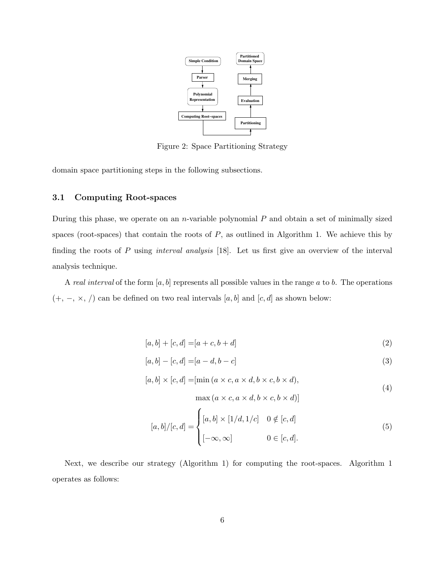

Figure 2: Space Partitioning Strategy

domain space partitioning steps in the following subsections.

### 3.1 Computing Root-spaces

During this phase, we operate on an *n*-variable polynomial  $P$  and obtain a set of minimally sized spaces (root-spaces) that contain the roots of  $P$ , as outlined in Algorithm 1. We achieve this by finding the roots of  $P$  using *interval analysis* [18]. Let us first give an overview of the interval analysis technique.

A real interval of the form  $[a, b]$  represents all possible values in the range a to b. The operations  $(+, -, \times, /)$  can be defined on two real intervals  $[a, b]$  and  $[c, d]$  as shown below:

$$
[a, b] + [c, d] = [a + c, b + d]
$$
\n(2)

$$
[a, b] - [c, d] = [a - d, b - c]
$$
\n(3)

$$
[a, b] \times [c, d] = [\min(a \times c, a \times d, b \times c, b \times d),
$$
\n<sup>(4)</sup>

 $\max(a \times c, a \times d, b \times c, b \times d)$ 

$$
[a,b]/[c,d] = \begin{cases} [a,b] \times [1/d,1/c] & 0 \notin [c,d] \\ [-\infty,\infty] & 0 \in [c,d]. \end{cases} \tag{5}
$$

Next, we describe our strategy (Algorithm 1) for computing the root-spaces. Algorithm 1 operates as follows: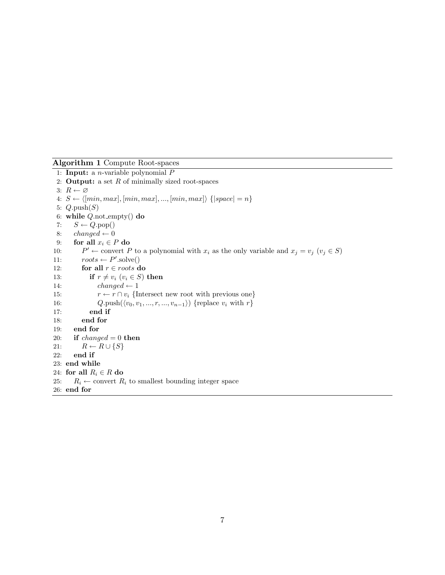Algorithm 1 Compute Root-spaces

1: **Input:** a *n*-variable polynomial  $P$ 2: **Output:** a set  $R$  of minimally sized root-spaces 3:  $R \leftarrow \varnothing$ 4:  $S \leftarrow \langle [min, max], [min, max], ..., [min, max] \rangle \{ | space| = n \}$ 5:  $Q.\text{push}(S)$ 6: while  $Q.\text{not-empty}()$  do 7:  $S \leftarrow Q.pop()$ 8:  $changed \leftarrow 0$ 9: for all  $x_i \in P$  do  $10:$  $P' \leftarrow$  convert P to a polynomial with  $x_i$  as the only variable and  $x_j = v_j$   $(v_j \in S)$ 11:  $roots \leftarrow P'.\text{solve}()$ 12: for all  $r \in roots$  do 13: if  $r \neq v_i$   $(v_i \in S)$  then 14:  $changed \leftarrow 1$ 15:  $r \leftarrow r \cap v_i$  {Intersect new root with previous one} 16:  $Q.\text{push}(\langle v_0, v_1, ..., r, ..., v_{n-1}\rangle)$  {replace  $v_i$  with  $r$ } 17: end if 18: end for 19: end for 20: if  $changed = 0$  then 21:  $R \leftarrow R \cup \{S\}$ 22: end if 23: end while 24: for all  $R_i \in R$  do 25:  $R_i \leftarrow$  convert  $R_i$  to smallest bounding integer space 26: end for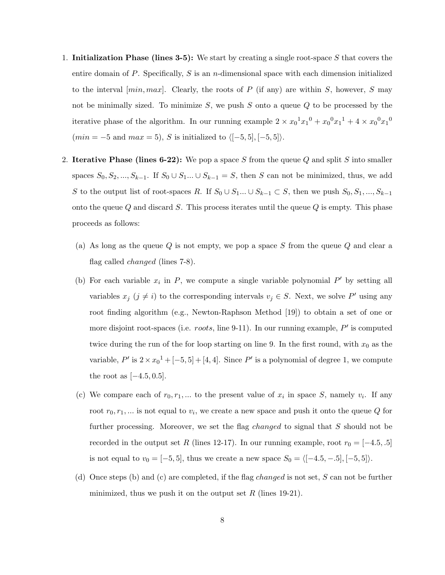- 1. Initialization Phase (lines 3-5): We start by creating a single root-space  $S$  that covers the entire domain of P. Specifically, S is an *n*-dimensional space with each dimension initialized to the interval  $(min, max]$ . Clearly, the roots of P (if any) are within S, however, S may not be minimally sized. To minimize  $S$ , we push  $S$  onto a queue  $Q$  to be processed by the iterative phase of the algorithm. In our running example  $2 \times x_0^1 x_1^0 + x_0^0 x_1^1 + 4 \times x_0^0 x_1^0$  $(min = -5 \text{ and } max = 5), S \text{ is initialized to } \langle [-5, 5], [-5, 5] \rangle.$
- 2. Iterative Phase (lines 6-22): We pop a space S from the queue Q and split S into smaller spaces  $S_0, S_2, ..., S_{k-1}$ . If  $S_0 \cup S_1 ... \cup S_{k-1} = S$ , then S can not be minimized, thus, we add S to the output list of root-spaces R. If  $S_0 \cup S_1 \ldots \cup S_{k-1} \subset S$ , then we push  $S_0, S_1, \ldots, S_{k-1}$ onto the queue  $Q$  and discard  $S$ . This process iterates until the queue  $Q$  is empty. This phase proceeds as follows:
	- (a) As long as the queue  $Q$  is not empty, we pop a space  $S$  from the queue  $Q$  and clear a flag called changed (lines 7-8).
	- (b) For each variable  $x_i$  in P, we compute a single variable polynomial P' by setting all variables  $x_j$   $(j \neq i)$  to the corresponding intervals  $v_j \in S$ . Next, we solve P' using any root finding algorithm (e.g., Newton-Raphson Method [19]) to obtain a set of one or more disjoint root-spaces (i.e. *roots*, line 9-11). In our running example,  $P'$  is computed twice during the run of the for loop starting on line 9. In the first round, with  $x_0$  as the variable,  $P'$  is  $2 \times x_0^1 + [-5, 5] + [4, 4]$ . Since  $P'$  is a polynomial of degree 1, we compute the root as  $[-4.5, 0.5]$ .
	- (c) We compare each of  $r_0, r_1, \ldots$  to the present value of  $x_i$  in space S, namely  $v_i$ . If any root  $r_0, r_1, \dots$  is not equal to  $v_i$ , we create a new space and push it onto the queue Q for further processing. Moreover, we set the flag *changed* to signal that S should not be recorded in the output set R (lines 12-17). In our running example, root  $r_0 = [-4.5, .5]$ is not equal to  $v_0 = [-5, 5]$ , thus we create a new space  $S_0 = \langle [-4.5, -.5], [-5, 5] \rangle$ .
	- (d) Once steps (b) and (c) are completed, if the flag *changed* is not set, S can not be further minimized, thus we push it on the output set  $R$  (lines 19-21).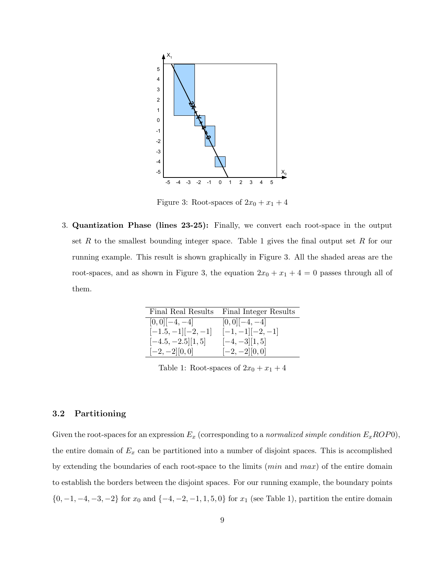

Figure 3: Root-spaces of  $2x_0 + x_1 + 4$ 

running example. This result is shown graphically in Figure 3. All the shaded areas are the root-spaces, and as shown in Figure 3, the equation  $2x_0 + x_1 + 4 = 0$  passes through all of set R to the smallest bounding integer space. Table 1 gives the final output set R for our 4 3. Quantization Phase (lines 23-25): Finally, we convert each root-space in the output them.

| Final Real Results   | Final Integer Results |
|----------------------|-----------------------|
| $[0,0]$ [-4,-4]      | $[0,0]$ [-4,-4]       |
| $[-1.5, -1]$ [-2,-1] | $[-1,-1]$ [-2,-1]     |
| $[-4.5, -2.5][1, 5]$ | $[-4, -3][1, 5]$      |
| $[-2,-2][0,0]$       | $[-2, -2]$ [0,0]      |

Table 1: Root-spaces of  $2x_0 + x_1 + 4$ 

### 3.2 Partitioning

Given the root-spaces for an expression  $E_x$  (corresponding to a normalized simple condition  $E_xROP0$ ), the entire domain of  $E_x$  can be partitioned into a number of disjoint spaces. This is accomplished by extending the boundaries of each root-space to the limits ( $min$  and  $max$ ) of the entire domain to establish the borders between the disjoint spaces. For our running example, the boundary points  $\{0, -1, -4, -3, -2\}$  for  $x_0$  and  $\{-4, -2, -1, 1, 5, 0\}$  for  $x_1$  (see Table 1), partition the entire domain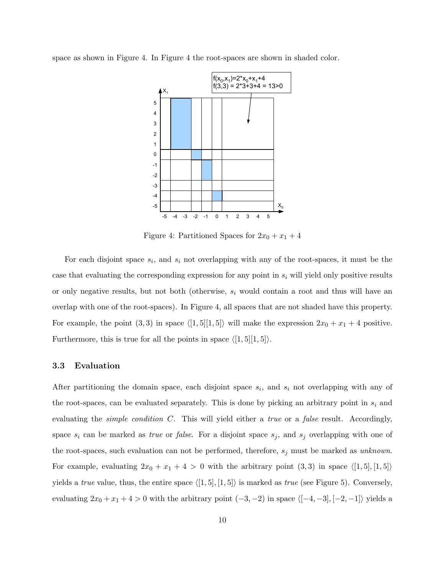space as shown in Figure 4. In Figure 4 the root-spaces are shown in shaded color.



Figure 4: Partitioned Spaces for  $2x_0 + x_1 + 4$ 

Furthermore, this is true for all the points in space  $\langle [1, 5][1, 5] \rangle$ . For example, the point  $(3, 3)$  in space  $\langle [1, 5][1, 5] \rangle$  will make the expression  $2x_0 + x_1 + 4$  positive. overlap with one of the root-spaces). In Figure 4, all spaces that are not shaded have this property. or only negative results, but not both (otherwise,  $s_i$  would contain a root and thus will have an case that evaluating the corresponding expression for any point in  $s_i$  will yield only positive results For each disjoint space  $s_i$ , and  $s_i$  not overlapping with any of the root-spaces, it must be the

### 3.3 Evaluation

After partitioning the domain space, each disjoint space  $s_i$ , and  $s_i$  not overlapping with any of the root-spaces, can be evaluated separately. This is done by picking an arbitrary point in  $s_i$  and evaluating the *simple condition*  $C$ . This will yield either a *true* or a *false* result. Accordingly, space  $s_i$  can be marked as *true* or *false*. For a disjoint space  $s_j$ , and  $s_j$  overlapping with one of the root-spaces, such evaluation can not be performed, therefore,  $s_j$  must be marked as unknown. For example, evaluating  $2x_0 + x_1 + 4 > 0$  with the arbitrary point  $(3,3)$  in space  $\langle [1,5], [1,5] \rangle$ yields a *true* value, thus, the entire space  $\langle [1, 5], [1, 5] \rangle$  is marked as *true* (see Figure 5). Conversely, evaluating  $2x_0 + x_1 + 4 > 0$  with the arbitrary point  $(-3, -2)$  in space  $\langle [-4, -3], [-2, -1] \rangle$  yields a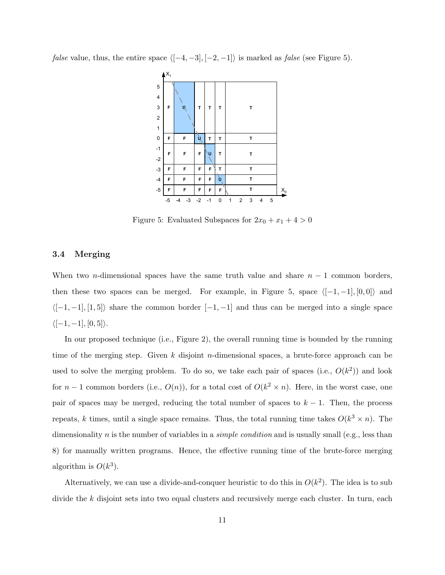*false* value, thus, the entire space  $\langle [-4, -3], [-2, -1] \rangle$  is marked as *false* (see Figure 5).



Figure 5: Evaluated Subspaces for  $2x_0 + x_1 + 4 > 0$ 

#### 3.4 Merging

When two *n*-dimensional spaces have the same truth value and share  $n - 1$  common borders, then these two spaces can be merged. For example, in Figure 5, space  $\langle [-1, -1], [0, 0] \rangle$  and  $\langle [-1, -1], [1, 5] \rangle$  share the common border  $[-1, -1]$  and thus can be merged into a single space  $\langle [-1, -1], [0, 5] \rangle.$ 

In our proposed technique (i.e., Figure 2), the overall running time is bounded by the running time of the merging step. Given  $k$  disjoint *n*-dimensional spaces, a brute-force approach can be used to solve the merging problem. To do so, we take each pair of spaces (i.e.,  $O(k^2)$ ) and look for  $n-1$  common borders (i.e.,  $O(n)$ ), for a total cost of  $O(k^2 \times n)$ . Here, in the worst case, one pair of spaces may be merged, reducing the total number of spaces to  $k - 1$ . Then, the process repeats, k times, until a single space remains. Thus, the total running time takes  $O(k^3 \times n)$ . The dimensionality n is the number of variables in a *simple condition* and is usually small (e.g., less than 8) for manually written programs. Hence, the effective running time of the brute-force merging algorithm is  $O(k^3)$ .

Alternatively, we can use a divide-and-conquer heuristic to do this in  $O(k^2)$ . The idea is to sub divide the  $k$  disjoint sets into two equal clusters and recursively merge each cluster. In turn, each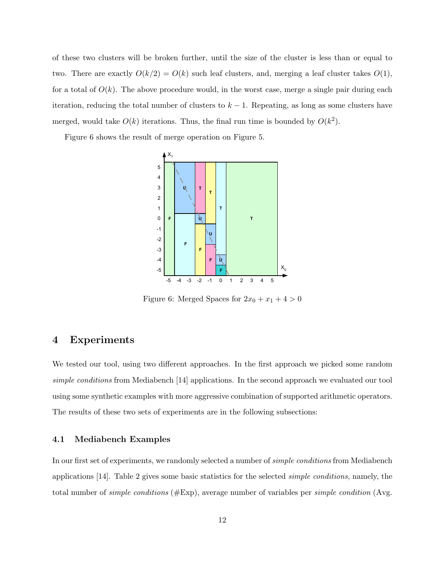of these two clusters will be broken further, until the size of the cluster is less than or equal to two. There are exactly  $O(k/2) = O(k)$  such leaf clusters, and, merging a leaf cluster takes  $O(1)$ , for a total of  $O(k)$ . The above procedure would, in the worst case, merge a single pair during each iteration, reducing the total number of clusters to  $k - 1$ . Repeating, as long as some clusters have merged, would take  $O(k)$  iterations. Thus, the final run time is bounded by  $O(k^2)$ .

Figure 6 shows the result of merge operation on Figure 5.



Figure 6: Merged Spaces for  $2x_0 + x_1 + 4 > 0$ 

## 4 Experiments

We tested our tool, using two different approaches. In the first approach we picked some random simple conditions from Mediabench [14] applications. In the second approach we evaluated our tool using some synthetic examples with more aggressive combination of supported arithmetic operators. The results of these two sets of experiments are in the following subsections:

### 4.1 Mediabench Examples

In our first set of experiments, we randomly selected a number of *simple conditions* from Mediabench applications [14]. Table 2 gives some basic statistics for the selected simple conditions, namely, the total number of *simple conditions* ( $\#\text{Exp}$ ), average number of variables per *simple condition* (Avg.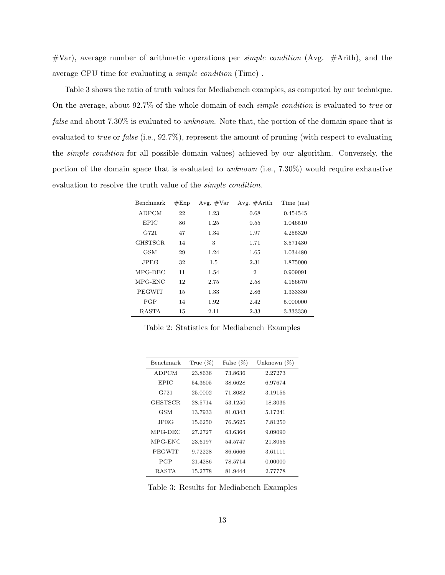$#Var$ , average number of arithmetic operations per *simple condition* (Avg.  $#Arith$ ), and the average CPU time for evaluating a simple condition (Time) .

Table 3 shows the ratio of truth values for Mediabench examples, as computed by our technique. On the average, about 92.7% of the whole domain of each simple condition is evaluated to true or false and about 7.30% is evaluated to *unknown*. Note that, the portion of the domain space that is evaluated to *true* or *false* (i.e., 92.7%), represent the amount of pruning (with respect to evaluating the simple condition for all possible domain values) achieved by our algorithm. Conversely, the portion of the domain space that is evaluated to unknown (i.e., 7.30%) would require exhaustive evaluation to resolve the truth value of the simple condition.

| Benchmark      | #Exp | Avg. $#Var$ | Avg. $\#$ Arith | Time (ms) |
|----------------|------|-------------|-----------------|-----------|
| ADPCM          | 22   | 1.23        | 0.68            | 0.454545  |
| <b>EPIC</b>    | 86   | 1.25        | 0.55            | 1.046510  |
| G721           | 47   | 1.34        | 1.97            | 4.255320  |
| <b>GHSTSCR</b> | 14   | 3           | 1.71            | 3.571430  |
| GSM            | 29   | 1.24        | 1.65            | 1.034480  |
| JPEG.          | 32   | 1.5         | 2.31            | 1.875000  |
| MPG-DEC        | 11   | 1.54        | 2               | 0.909091  |
| MPG-ENC        | 12   | 2.75        | 2.58            | 4.166670  |
| PEGWIT         | 15   | 1.33        | 2.86            | 1.333330  |
| <b>PGP</b>     | 14   | 1.92        | 2.42            | 5.000000  |
| RASTA          | 15   | 2.11        | 2.33            | 3.333330  |

Table 2: Statistics for Mediabench Examples

| Benchmark     | True $(\%)$ | False $(\%)$ | Unknown $(\%)$ |
|---------------|-------------|--------------|----------------|
| ADPCM         | 23.8636     | 73.8636      | 2.27273        |
| <b>EPIC</b>   | 54.3605     | 38.6628      | 6.97674        |
| G721          | 25.0002     | 71.8082      | 3.19156        |
| GHSTSCR.      | 28.5714     | 53.1250      | 18.3036        |
| GSM           | 13.7933     | 81.0343      | 5.17241        |
| JPEG          | 15.6250     | 76.5625      | 7.81250        |
| MPG-DEC       | 27.2727     | 63.6364      | 9.09090        |
| MPG-ENC       | 23.6197     | 54.5747      | 21.8055        |
| <b>PEGWIT</b> | 9.72228     | 86.6666      | 3.61111        |
| PGP           | 21.4286     | 78.5714      | 0.00000        |
| RASTA         | 15.2778     | 81.9444      | 2.77778        |

Table 3: Results for Mediabench Examples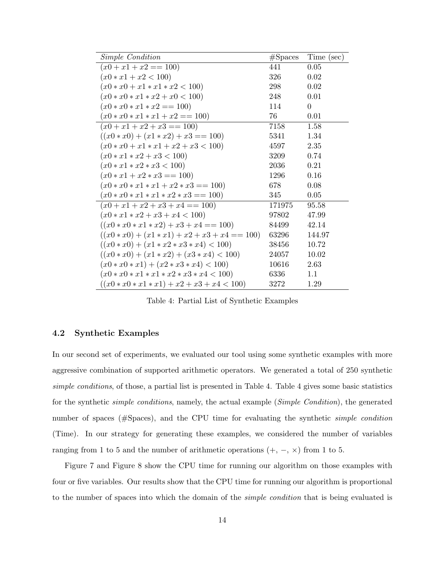| Simple Condition                                | #Spaces | Time (sec) |
|-------------------------------------------------|---------|------------|
| $(x0+x1+x2 == 100)$                             | 441     | $0.05\,$   |
| $(x0 * x1 + x2 < 100)$                          | 326     | 0.02       |
| $(x0 * x0 + x1 * x1 * x2 < 100)$                | 298     | 0.02       |
| $(x0 * x0 * x1 * x2 + x0 < 100)$                | 248     | 0.01       |
| $(x0 * x0 * x1 * x2 == 100)$                    | 114     | $\Omega$   |
| $(x0 * x0 * x1 * x1 + x2 == 100)$               | 76      | 0.01       |
| $(x0 + x1 + x2 + x3 == 100)$                    | 7158    | 1.58       |
| $((x0 * x0) + (x1 * x2) + x3 == 100)$           | 5341    | 1.34       |
| $(x0 * x0 + x1 * x1 + x2 + x3 < 100)$           | 4597    | 2.35       |
| $(x0 * x1 * x2 + x3 < 100)$                     | 3209    | 0.74       |
| $(x0 * x1 * x2 * x3 < 100)$                     | 2036    | 0.21       |
| $(x0 * x1 + x2 * x3 == 100)$                    | 1296    | 0.16       |
| $(x0 * x0 * x1 * x1 + x2 * x3 == 100)$          | 678     | 0.08       |
| $(x0 * x0 * x1 * x1 * x2 * x3 == 100)$          | 345     | 0.05       |
| $(x0 + x1 + x2 + x3 + x4 == 100)$               | 171975  | 95.58      |
| $(x0 * x1 * x2 + x3 + x4 < 100)$                | 97802   | 47.99      |
| $((x0 * x0 * x1 * x2) + x3 + x4 == 100)$        | 84499   | 42.14      |
| $((x0 * x0) + (x1 * x1) + x2 + x3 + x4 == 100)$ | 63296   | 144.97     |
| $((x0 * x0) + (x1 * x2 * x3 * x4) < 100)$       | 38456   | 10.72      |
| $((x0*x0) + (x1*x2) + (x3*x4) < 100)$           | 24057   | 10.02      |
| $(x0 * x0 * x1) + (x2 * x3 * x4) < 100$         | 10616   | 2.63       |
| $(x0 * x0 * x1 * x1 * x2 * x3 * x4 < 100)$      | 6336    | 1.1        |
| $((x0*x0*x1*x1) + x2 + x3 + x4 < 100)$          | 3272    | 1.29       |

Table 4: Partial List of Synthetic Examples

### 4.2 Synthetic Examples

In our second set of experiments, we evaluated our tool using some synthetic examples with more aggressive combination of supported arithmetic operators. We generated a total of 250 synthetic simple conditions, of those, a partial list is presented in Table 4. Table 4 gives some basic statistics for the synthetic *simple conditions*, namely, the actual example (*Simple Condition*), the generated number of spaces (#Spaces), and the CPU time for evaluating the synthetic *simple condition* (Time). In our strategy for generating these examples, we considered the number of variables ranging from 1 to 5 and the number of arithmetic operations  $(+, -, \times)$  from 1 to 5.

Figure 7 and Figure 8 show the CPU time for running our algorithm on those examples with four or five variables. Our results show that the CPU time for running our algorithm is proportional to the number of spaces into which the domain of the simple condition that is being evaluated is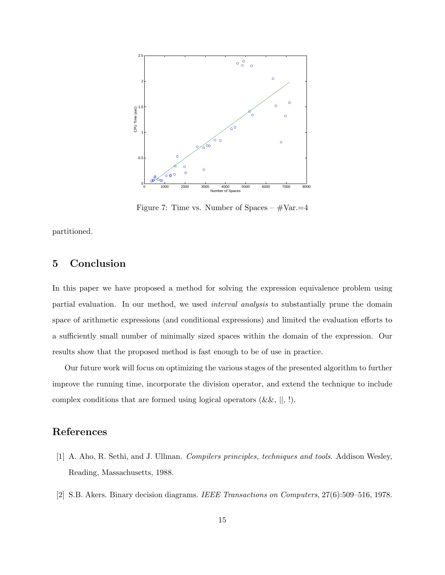

Figure 7: Time vs. Number of Spaces –  $\# \text{Var} = 4$ 

partitioned.

## 5 Conclusion

In this paper we have proposed a method for solving the expression equivalence problem using partial evaluation. In our method, we used interval analysis to substantially prune the domain space of arithmetic expressions (and conditional expressions) and limited the evaluation efforts to a sufficiently small number of minimally sized spaces within the domain of the expression. Our results show that the proposed method is fast enough to be of use in practice.

Our future work will focus on optimizing the various stages of the presented algorithm to further improve the running time, incorporate the division operator, and extend the technique to include complex conditions that are formed using logical operators  $(\&\&,\,||, \,|).$ 

# References

- [1] A. Aho, R. Sethi, and J. Ullman. Compilers principles, techniques and tools. Addison Wesley, Reading, Massachusetts, 1988.
- [2] S.B. Akers. Binary decision diagrams. IEEE Transactions on Computers, 27(6):509–516, 1978.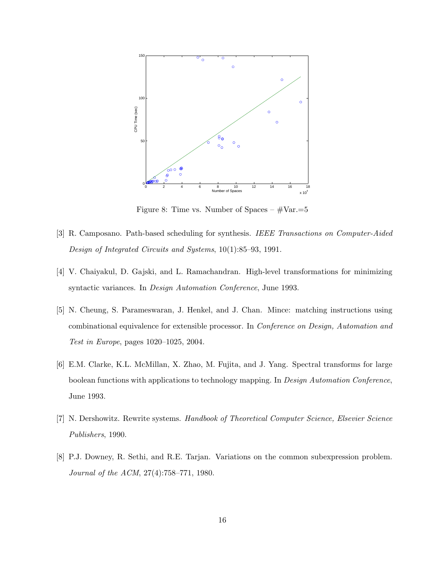

Figure 8: Time vs. Number of Spaces –  $\# \text{Var} = 5$ 

- [3] R. Camposano. Path-based scheduling for synthesis. IEEE Transactions on Computer-Aided Design of Integrated Circuits and Systems, 10(1):85–93, 1991.
- [4] V. Chaiyakul, D. Gajski, and L. Ramachandran. High-level transformations for minimizing syntactic variances. In Design Automation Conference, June 1993.
- [5] N. Cheung, S. Parameswaran, J. Henkel, and J. Chan. Mince: matching instructions using combinational equivalence for extensible processor. In Conference on Design, Automation and Test in Europe, pages 1020–1025, 2004.
- [6] E.M. Clarke, K.L. McMillan, X. Zhao, M. Fujita, and J. Yang. Spectral transforms for large boolean functions with applications to technology mapping. In Design Automation Conference, June 1993.
- [7] N. Dershowitz. Rewrite systems. Handbook of Theoretical Computer Science, Elsevier Science Publishers, 1990.
- [8] P.J. Downey, R. Sethi, and R.E. Tarjan. Variations on the common subexpression problem. Journal of the ACM, 27(4):758–771, 1980.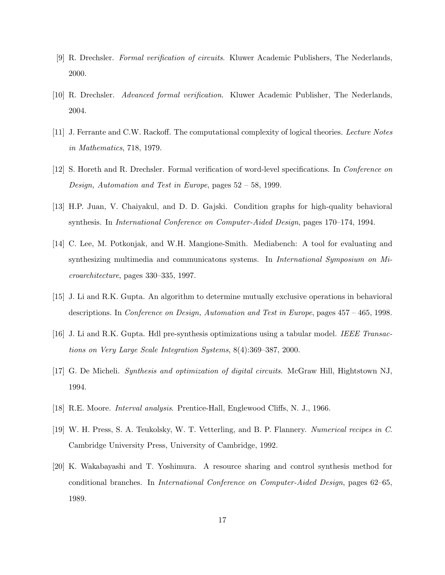- [9] R. Drechsler. Formal verification of circuits. Kluwer Academic Publishers, The Nederlands, 2000.
- [10] R. Drechsler. Advanced formal verification. Kluwer Academic Publisher, The Nederlands, 2004.
- [11] J. Ferrante and C.W. Rackoff. The computational complexity of logical theories. Lecture Notes in Mathematics, 718, 1979.
- [12] S. Horeth and R. Drechsler. Formal verification of word-level specifications. In Conference on Design, Automation and Test in Europe, pages 52 – 58, 1999.
- [13] H.P. Juan, V. Chaiyakul, and D. D. Gajski. Condition graphs for high-quality behavioral synthesis. In International Conference on Computer-Aided Design, pages 170–174, 1994.
- [14] C. Lee, M. Potkonjak, and W.H. Mangione-Smith. Mediabench: A tool for evaluating and synthesizing multimedia and communicatons systems. In *International Symposium on Mi*croarchitecture, pages 330–335, 1997.
- [15] J. Li and R.K. Gupta. An algorithm to determine mutually exclusive operations in behavioral descriptions. In Conference on Design, Automation and Test in Europe, pages 457 – 465, 1998.
- [16] J. Li and R.K. Gupta. Hdl pre-synthesis optimizations using a tabular model. IEEE Transactions on Very Large Scale Integration Systems, 8(4):369–387, 2000.
- [17] G. De Micheli. Synthesis and optimization of digital circuits. McGraw Hill, Hightstown NJ, 1994.
- [18] R.E. Moore. Interval analysis. Prentice-Hall, Englewood Cliffs, N. J., 1966.
- [19] W. H. Press, S. A. Teukolsky, W. T. Vetterling, and B. P. Flannery. Numerical recipes in C. Cambridge University Press, University of Cambridge, 1992.
- [20] K. Wakabayashi and T. Yoshimura. A resource sharing and control synthesis method for conditional branches. In International Conference on Computer-Aided Design, pages 62–65, 1989.